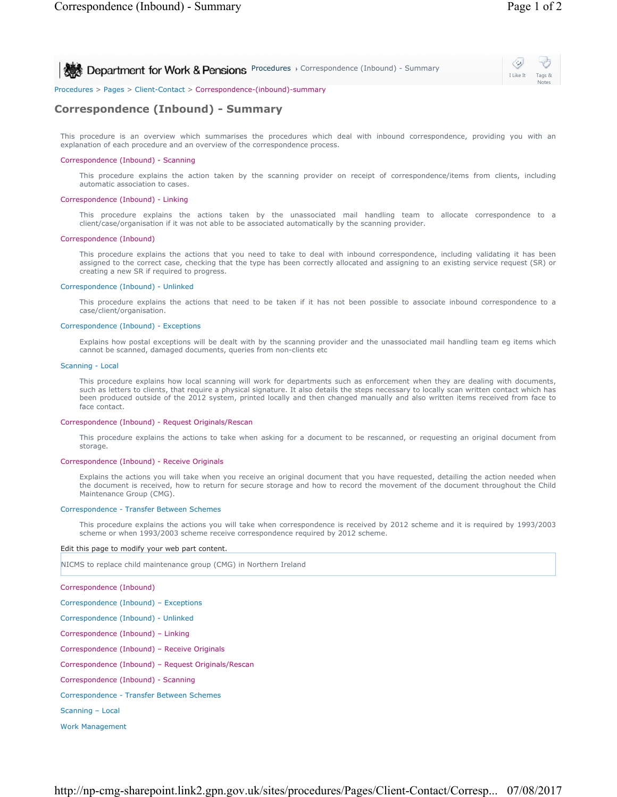I Like It Tags & Notes

**Procedures > Correspondence (Inbound) - Summary Correspondence (Inbound) - Summary** 

Procedures > Pages > Client-Contact > Correspondence-(inbound)-summary

# **Correspondence (Inbound) - Summary**

This procedure is an overview which summarises the procedures which deal with inbound correspondence, providing you with an explanation of each procedure and an overview of the correspondence process.

### Correspondence (Inbound) - Scanning

This procedure explains the action taken by the scanning provider on receipt of correspondence/items from clients, including automatic association to cases.

## Correspondence (Inbound) - Linking

This procedure explains the actions taken by the unassociated mail handling team to allocate correspondence to a client/case/organisation if it was not able to be associated automatically by the scanning provider.

#### Correspondence (Inbound)

This procedure explains the actions that you need to take to deal with inbound correspondence, including validating it has been assigned to the correct case, checking that the type has been correctly allocated and assigning to an existing service request (SR) or creating a new SR if required to progress.

### Correspondence (Inbound) - Unlinked

This procedure explains the actions that need to be taken if it has not been possible to associate inbound correspondence to a case/client/organisation.

## Correspondence (Inbound) - Exceptions

Explains how postal exceptions will be dealt with by the scanning provider and the unassociated mail handling team eg items which cannot be scanned, damaged documents, queries from non-clients etc

#### Scanning - Local

This procedure explains how local scanning will work for departments such as enforcement when they are dealing with documents, such as letters to clients, that require a physical signature. It also details the steps necessary to locally scan written contact which has been produced outside of the 2012 system, printed locally and then changed manually and also written items received from face to face contact.

#### Correspondence (Inbound) - Request Originals/Rescan

This procedure explains the actions to take when asking for a document to be rescanned, or requesting an original document from storage.

#### Correspondence (Inbound) - Receive Originals

Explains the actions you will take when you receive an original document that you have requested, detailing the action needed when the document is received, how to return for secure storage and how to record the movement of the document throughout the Child Maintenance Group (CMG).

#### Correspondence - Transfer Between Schemes

This procedure explains the actions you will take when correspondence is received by 2012 scheme and it is required by 1993/2003 scheme or when 1993/2003 scheme receive correspondence required by 2012 scheme.

#### Edit this page to modify your web part content.

NICMS to replace child maintenance group (CMG) in Northern Ireland

Correspondence (Inbound)

Correspondence (Inbound) – Exceptions

Correspondence (Inbound) - Unlinked

Correspondence (Inbound) – Linking

Correspondence (Inbound) – Receive Originals

Correspondence (Inbound) – Request Originals/Rescan

Correspondence (Inbound) - Scanning

Correspondence - Transfer Between Schemes

Scanning – Local

Work Management